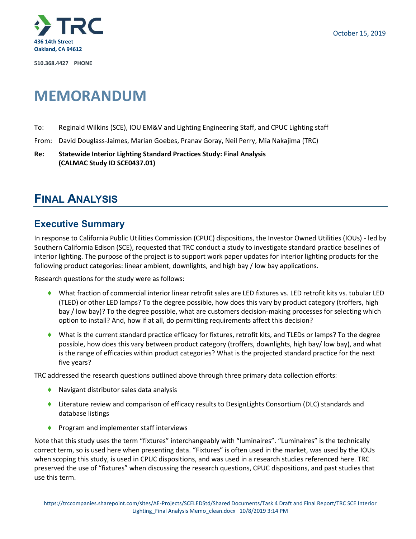

**510.368.4427 PHONE**

# **MEMORANDUM**

- To: Reginald Wilkins (SCE), IOU EM&V and Lighting Engineering Staff, and CPUC Lighting staff
- From: David Douglass-Jaimes, Marian Goebes, Pranav Goray, Neil Perry, Mia Nakajima (TRC)
- **Re: Statewide Interior Lighting Standard Practices Study: Final Analysis (CALMAC Study ID SCE0437.01)**

## **FINAL ANALYSIS**

### **Executive Summary**

In response to California Public Utilities Commission (CPUC) dispositions, the Investor Owned Utilities (IOUs) - led by Southern California Edison (SCE), requested that TRC conduct a study to investigate standard practice baselines of interior lighting. The purpose of the project is to support work paper updates for interior lighting products for the following product categories: linear ambient, downlights, and high bay / low bay applications.

Research questions for the study were as follows:

- What fraction of commercial interior linear retrofit sales are LED fixtures vs. LED retrofit kits vs. tubular LED (TLED) or other LED lamps? To the degree possible, how does this vary by product category (troffers, high bay / low bay)? To the degree possible, what are customers decision-making processes for selecting which option to install? And, how if at all, do permitting requirements affect this decision?
- What is the current standard practice efficacy for fixtures, retrofit kits, and TLEDs or lamps? To the degree possible, how does this vary between product category (troffers, downlights, high bay/ low bay), and what is the range of efficacies within product categories? What is the projected standard practice for the next five years?

TRC addressed the research questions outlined above through three primary data collection efforts:

- ◆ Navigant distributor sales data analysis
- ♦ Literature review and comparison of efficacy results to DesignLights Consortium (DLC) standards and database listings
- ◆ Program and implementer staff interviews

Note that this study uses the term "fixtures" interchangeably with "luminaires". "Luminaires" is the technically correct term, so is used here when presenting data. "Fixtures" is often used in the market, was used by the IOUs when scoping this study, is used in CPUC dispositions, and was used in a research studies referenced here. TRC preserved the use of "fixtures" when discussing the research questions, CPUC dispositions, and past studies that use this term.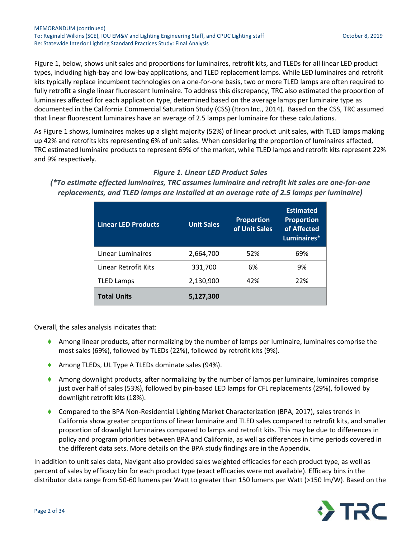[Figure 1,](#page-1-0) below, shows unit sales and proportions for luminaires, retrofit kits, and TLEDs for all linear LED product types, including high-bay and low-bay applications, and TLED replacement lamps. While LED luminaires and retrofit kits typically replace incumbent technologies on a one-for-one basis, two or more TLED lamps are often required to fully retrofit a single linear fluorescent luminaire. To address this discrepancy, TRC also estimated the proportion of luminaires affected for each application type, determined based on the average lamps per luminaire type as documented in the California Commercial Saturation Study (CSS) (Itron Inc., 2014). Based on the CSS, TRC assumed that linear fluorescent luminaires have an average of 2.5 lamps per luminaire for these calculations.

A[s Figure 1](#page-1-0) shows, luminaires makes up a slight majority (52%) of linear product unit sales, with TLED lamps making up 42% and retrofits kits representing 6% of unit sales. When considering the proportion of luminaires affected, TRC estimated luminaire products to represent 69% of the market, while TLED lamps and retrofit kits represent 22% and 9% respectively.

### *Figure 1. Linear LED Product Sales*

<span id="page-1-0"></span>*(\*To estimate effected luminaires, TRC assumes luminaire and retrofit kit sales are one-for-one replacements, and TLED lamps are installed at an average rate of 2.5 lamps per luminaire)*

| <b>Linear LED Products</b> | <b>Unit Sales</b> | <b>Proportion</b><br>of Unit Sales | <b>Estimated</b><br><b>Proportion</b><br>of Affected<br>Luminaires* |
|----------------------------|-------------------|------------------------------------|---------------------------------------------------------------------|
| Linear Luminaires          | 2,664,700         | 52%                                | 69%                                                                 |
| Linear Retrofit Kits       | 331,700           | 6%                                 | 9%                                                                  |
| <b>TLED Lamps</b>          | 2,130,900         | 42%                                | 22%                                                                 |
| <b>Total Units</b>         | 5,127,300         |                                    |                                                                     |

Overall, the sales analysis indicates that:

- Among linear products, after normalizing by the number of lamps per luminaire, luminaires comprise the most sales (69%), followed by TLEDs (22%), followed by retrofit kits (9%).
- ◆ Among TLEDs, UL Type A TLEDs dominate sales (94%).
- Among downlight products, after normalizing by the number of lamps per luminaire, luminaires comprise just over half of sales (53%), followed by pin-based LED lamps for CFL replacements (29%), followed by downlight retrofit kits (18%).
- ◆ Compared to the BPA Non-Residential Lighting Market Characterization (BPA, 2017), sales trends in California show greater proportions of linear luminaire and TLED sales compared to retrofit kits, and smaller proportion of downlight luminaires compared to lamps and retrofit kits. This may be due to differences in policy and program priorities between BPA and California, as well as differences in time periods covered in the different data sets. More details on the BPA study findings are in the Appendix.

In addition to unit sales data, Navigant also provided sales weighted efficacies for each product type, as well as percent of sales by efficacy bin for each product type (exact efficacies were not available). Efficacy bins in the distributor data range from 50-60 lumens per Watt to greater than 150 lumens per Watt (>150 lm/W). Based on the

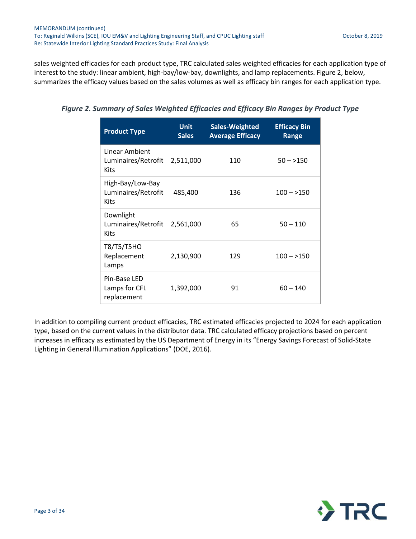sales weighted efficacies for each product type, TRC calculated sales weighted efficacies for each application type of interest to the study: linear ambient, high-bay/low-bay, downlights, and lamp replacements. [Figure 2,](#page-2-0) below, summarizes the efficacy values based on the sales volumes as well as efficacy bin ranges for each application type.

<span id="page-2-0"></span>

| Figure 2. Summary of Sales Weighted Efficacies and Efficacy Bin Ranges by Product Type |  |  |  |  |
|----------------------------------------------------------------------------------------|--|--|--|--|
|----------------------------------------------------------------------------------------|--|--|--|--|

| <b>Product Type</b>                                            | <b>Unit</b><br><b>Sales</b> | Sales-Weighted<br><b>Average Efficacy</b> | <b>Efficacy Bin</b><br>Range |
|----------------------------------------------------------------|-----------------------------|-------------------------------------------|------------------------------|
| Linear Ambient<br>Luminaires/Retrofit 2,511,000<br><b>Kits</b> |                             | 110                                       | $50 - > 150$                 |
| High-Bay/Low-Bay<br>Luminaires/Retrofit<br><b>Kits</b>         | 485,400                     | 136                                       | $100 - 150$                  |
| Downlight<br>Luminaires/Retrofit<br><b>Kits</b>                | 2,561,000                   | 65                                        | $50 - 110$                   |
| T8/T5/T5HO<br>Replacement<br>Lamps                             | 2,130,900                   | 129                                       | $100 - > 150$                |
| Pin-Base LED<br>Lamps for CFL<br>replacement                   | 1,392,000                   | 91                                        | $60 - 140$                   |

In addition to compiling current product efficacies, TRC estimated efficacies projected to 2024 for each application type, based on the current values in the distributor data. TRC calculated efficacy projections based on percent increases in efficacy as estimated by the US Department of Energy in its "Energy Savings Forecast of Solid-State Lighting in General Illumination Applications" (DOE, 2016).

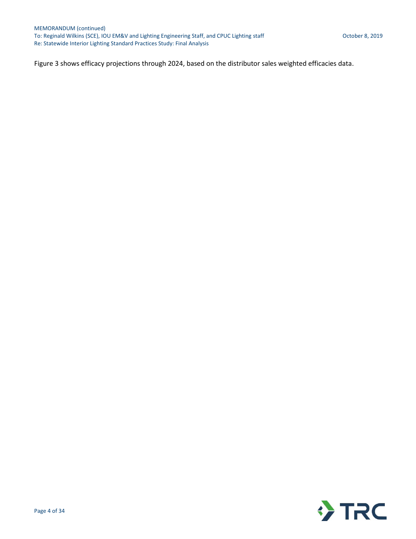<span id="page-3-0"></span>[Figure 3](#page-3-0) shows efficacy projections through 2024, based on the distributor sales weighted efficacies data.

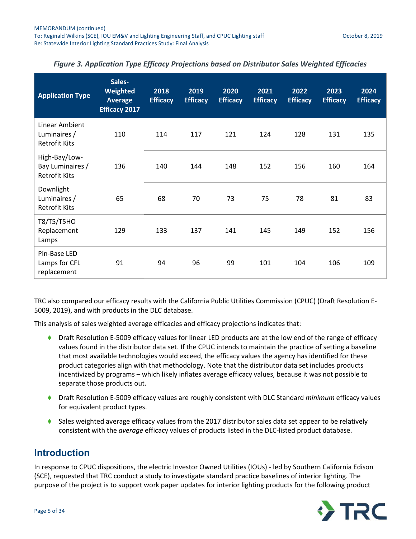| <b>Application Type</b>                                   | Sales-<br>Weighted<br><b>Average</b><br><b>Efficacy 2017</b> | 2018<br><b>Efficacy</b> | 2019<br><b>Efficacy</b> | 2020<br><b>Efficacy</b> | 2021<br><b>Efficacy</b> | 2022<br><b>Efficacy</b> | 2023<br><b>Efficacy</b> | 2024<br><b>Efficacy</b> |
|-----------------------------------------------------------|--------------------------------------------------------------|-------------------------|-------------------------|-------------------------|-------------------------|-------------------------|-------------------------|-------------------------|
| Linear Ambient<br>Luminaires /<br><b>Retrofit Kits</b>    | 110                                                          | 114                     | 117                     | 121                     | 124                     | 128                     | 131                     | 135                     |
| High-Bay/Low-<br>Bay Luminaires /<br><b>Retrofit Kits</b> | 136                                                          | 140                     | 144                     | 148                     | 152                     | 156                     | 160                     | 164                     |
| Downlight<br>Luminaires /<br><b>Retrofit Kits</b>         | 65                                                           | 68                      | 70                      | 73                      | 75                      | 78                      | 81                      | 83                      |
| T8/T5/T5HO<br>Replacement<br>Lamps                        | 129                                                          | 133                     | 137                     | 141                     | 145                     | 149                     | 152                     | 156                     |
| Pin-Base LED<br>Lamps for CFL<br>replacement              | 91                                                           | 94                      | 96                      | 99                      | 101                     | 104                     | 106                     | 109                     |

#### *Figure 3. Application Type Efficacy Projections based on Distributor Sales Weighted Efficacies*

TRC also compared our efficacy results with the California Public Utilities Commission (CPUC) (Draft Resolution E-5009, 2019), and with products in the DLC database.

This analysis of sales weighted average efficacies and efficacy projections indicates that:

- ◆ Draft Resolution E-5009 efficacy values for linear LED products are at the low end of the range of efficacy values found in the distributor data set. If the CPUC intends to maintain the practice of setting a baseline that most available technologies would exceed, the efficacy values the agency has identified for these product categories align with that methodology. Note that the distributor data set includes products incentivized by programs – which likely inflates average efficacy values, because it was not possible to separate those products out.
- Draft Resolution E-5009 efficacy values are roughly consistent with DLC Standard *minimum* efficacy values for equivalent product types.
- Sales weighted average efficacy values from the 2017 distributor sales data set appear to be relatively consistent with the *average* efficacy values of products listed in the DLC-listed product database.

### **Introduction**

In response to CPUC dispositions, the electric Investor Owned Utilities (IOUs) - led by Southern California Edison (SCE), requested that TRC conduct a study to investigate standard practice baselines of interior lighting. The purpose of the project is to support work paper updates for interior lighting products for the following product

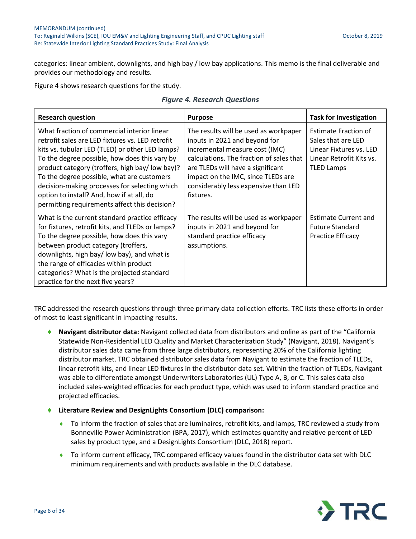categories: linear ambient, downlights, and high bay / low bay applications. This memo is the final deliverable and provides our methodology and results.

<span id="page-5-0"></span>[Figure 4](#page-5-0) shows research questions for the study.

|  | <b>Figure 4. Research Questions</b> |  |
|--|-------------------------------------|--|
|--|-------------------------------------|--|

| <b>Research question</b>                                                                                                                                                                                                                                                                                                                                                                                                                           | <b>Purpose</b>                                                                                                                                                                                                                                                                       | <b>Task for Investigation</b>                                                                                                 |
|----------------------------------------------------------------------------------------------------------------------------------------------------------------------------------------------------------------------------------------------------------------------------------------------------------------------------------------------------------------------------------------------------------------------------------------------------|--------------------------------------------------------------------------------------------------------------------------------------------------------------------------------------------------------------------------------------------------------------------------------------|-------------------------------------------------------------------------------------------------------------------------------|
| What fraction of commercial interior linear<br>retrofit sales are LED fixtures vs. LED retrofit<br>kits vs. tubular LED (TLED) or other LED lamps?<br>To the degree possible, how does this vary by<br>product category (troffers, high bay/low bay)?<br>To the degree possible, what are customers<br>decision-making processes for selecting which<br>option to install? And, how if at all, do<br>permitting requirements affect this decision? | The results will be used as workpaper<br>inputs in 2021 and beyond for<br>incremental measure cost (IMC)<br>calculations. The fraction of sales that<br>are TLEDs will have a significant<br>impact on the IMC, since TLEDs are<br>considerably less expensive than LED<br>fixtures. | <b>Estimate Fraction of</b><br>Sales that are LED<br>Linear Fixtures vs. LED<br>Linear Retrofit Kits vs.<br><b>TLED Lamps</b> |
| What is the current standard practice efficacy<br>for fixtures, retrofit kits, and TLEDs or lamps?<br>To the degree possible, how does this vary<br>between product category (troffers,<br>downlights, high bay/low bay), and what is<br>the range of efficacies within product<br>categories? What is the projected standard<br>practice for the next five years?                                                                                 | The results will be used as workpaper<br>inputs in 2021 and beyond for<br>standard practice efficacy<br>assumptions.                                                                                                                                                                 | <b>Estimate Current and</b><br><b>Future Standard</b><br><b>Practice Efficacy</b>                                             |

TRC addressed the research questions through three primary data collection efforts. TRC lists these efforts in order of most to least significant in impacting results.

- **Navigant distributor data:** Navigant collected data from distributors and online as part of the "California Statewide Non-Residential LED Quality and Market Characterization Study" (Navigant, 2018). Navigant's distributor sales data came from three large distributors, representing 20% of the California lighting distributor market. TRC obtained distributor sales data from Navigant to estimate the fraction of TLEDs, linear retrofit kits, and linear LED fixtures in the distributor data set. Within the fraction of TLEDs, Navigant was able to differentiate amongst Underwriters Laboratories (UL) Type A, B, or C. This sales data also included sales-weighted efficacies for each product type, which was used to inform standard practice and projected efficacies.
- **Literature Review and DesignLights Consortium (DLC) comparison:**
	- To inform the fraction of sales that are luminaires, retrofit kits, and lamps, TRC reviewed a study from Bonneville Power Administration (BPA, 2017), which estimates quantity and relative percent of LED sales by product type, and a DesignLights Consortium (DLC, 2018) report.
	- To inform current efficacy, TRC compared efficacy values found in the distributor data set with DLC minimum requirements and with products available in the DLC database.

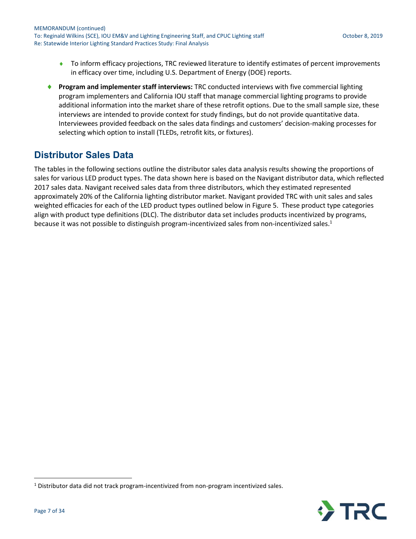- To inform efficacy projections, TRC reviewed literature to identify estimates of percent improvements in efficacy over time, including U.S. Department of Energy (DOE) reports.
- **Program and implementer staff interviews:** TRC conducted interviews with five commercial lighting program implementers and California IOU staff that manage commercial lighting programs to provide additional information into the market share of these retrofit options. Due to the small sample size, these interviews are intended to provide context for study findings, but do not provide quantitative data. Interviewees provided feedback on the sales data findings and customers' decision-making processes for selecting which option to install (TLEDs, retrofit kits, or fixtures).

## **Distributor Sales Data**

The tables in the following sections outline the distributor sales data analysis results showing the proportions of sales for various LED product types. The data shown here is based on the Navigant distributor data, which reflected 2017 sales data. Navigant received sales data from three distributors, which they estimated represented approximately 20% of the California lighting distributor market. Navigant provided TRC with unit sales and sales weighted efficacies for each of the LED product types outlined below in [Figure 5.](#page-7-0) These product type categories align with product type definitions (DLC). The distributor data set includes products incentivized by programs, because it was not possible to distinguish program-incentivized sales from non-incentivized sales.<sup>1</sup>



 $\overline{a}$ 

<sup>1</sup> Distributor data did not track program-incentivized from non-program incentivized sales.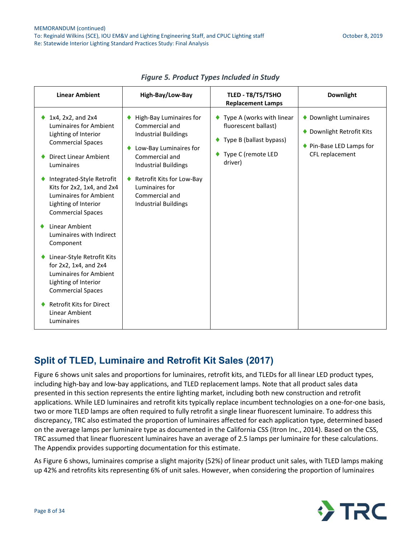<span id="page-7-0"></span>

| <b>Linear Ambient</b>                                                                                                                                                                                                                                                           | High-Bay/Low-Bay                                                                                                                                                                                                                                    | <b>TLED - T8/T5/T5HO</b><br><b>Replacement Lamps</b>                                                               | <b>Downlight</b>                                                                                      |
|---------------------------------------------------------------------------------------------------------------------------------------------------------------------------------------------------------------------------------------------------------------------------------|-----------------------------------------------------------------------------------------------------------------------------------------------------------------------------------------------------------------------------------------------------|--------------------------------------------------------------------------------------------------------------------|-------------------------------------------------------------------------------------------------------|
| 1x4, 2x2, and 2x4<br>Luminaires for Ambient<br>Lighting of Interior<br><b>Commercial Spaces</b><br>Direct Linear Ambient<br>Luminaires<br>Integrated-Style Retrofit<br>Kits for 2x2, 1x4, and 2x4<br>Luminaires for Ambient<br>Lighting of Interior<br><b>Commercial Spaces</b> | High-Bay Luminaires for<br>Commercial and<br><b>Industrial Buildings</b><br>Low-Bay Luminaires for<br>Commercial and<br><b>Industrial Buildings</b><br>Retrofit Kits for Low-Bay<br>Luminaires for<br>Commercial and<br><b>Industrial Buildings</b> | Type A (works with linear<br>fluorescent ballast)<br>Type B (ballast bypass)<br>۰<br>Type C (remote LED<br>driver) | ♦ Downlight Luminaires<br>Downlight Retrofit Kits<br>۰<br>♦ Pin-Base LED Lamps for<br>CFL replacement |
| Linear Ambient<br>Luminaires with Indirect<br>Component                                                                                                                                                                                                                         |                                                                                                                                                                                                                                                     |                                                                                                                    |                                                                                                       |
| Linear-Style Retrofit Kits<br>for 2x2, 1x4, and 2x4<br>Luminaires for Ambient<br>Lighting of Interior<br><b>Commercial Spaces</b>                                                                                                                                               |                                                                                                                                                                                                                                                     |                                                                                                                    |                                                                                                       |
| <b>Retrofit Kits for Direct</b><br>Linear Ambient<br>Luminaires                                                                                                                                                                                                                 |                                                                                                                                                                                                                                                     |                                                                                                                    |                                                                                                       |

*Figure 5. Product Types Included in Study*

### **Split of TLED, Luminaire and Retrofit Kit Sales (2017)**

[Figure 6](#page-8-0) shows unit sales and proportions for luminaires, retrofit kits, and TLEDs for all linear LED product types, including high-bay and low-bay applications, and TLED replacement lamps. Note that all product sales data presented in this section represents the entire lighting market, including both new construction and retrofit applications. While LED luminaires and retrofit kits typically replace incumbent technologies on a one-for-one basis, two or more TLED lamps are often required to fully retrofit a single linear fluorescent luminaire. To address this discrepancy, TRC also estimated the proportion of luminaires affected for each application type, determined based on the average lamps per luminaire type as documented in the California CSS (Itron Inc., 2014). Based on the CSS, TRC assumed that linear fluorescent luminaires have an average of 2.5 lamps per luminaire for these calculations. The Appendix provides supporting documentation for this estimate.

A[s Figure 6](#page-8-0) shows, luminaires comprise a slight majority (52%) of linear product unit sales, with TLED lamps making up 42% and retrofits kits representing 6% of unit sales. However, when considering the proportion of luminaires

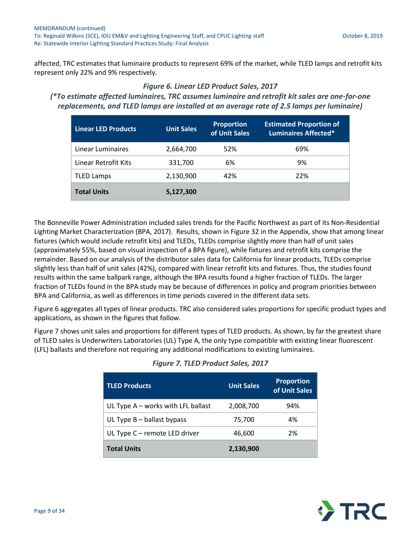<span id="page-8-0"></span>affected, TRC estimates that luminaire products to represent 69% of the market, while TLED lamps and retrofit kits represent only 22% and 9% respectively.

#### *Figure 6. Linear LED Product Sales, 2017*

*(\*To estimate affected luminaires, TRC assumes luminaire and retrofit kit sales are one-for-one replacements, and TLED lamps are installed at an average rate of 2.5 lamps per luminaire)*

| <b>Linear LED Products</b> | <b>Unit Sales</b> | <b>Proportion</b><br>of Unit Sales | <b>Estimated Proportion of</b><br><b>Luminaires Affected*</b> |
|----------------------------|-------------------|------------------------------------|---------------------------------------------------------------|
| Linear Luminaires          | 2,664,700         | 52%                                | 69%                                                           |
| Linear Retrofit Kits       | 331,700           | 6%                                 | 9%                                                            |
| <b>TLED Lamps</b>          | 2,130,900         | 42%                                | 22%                                                           |
| <b>Total Units</b>         | 5,127,300         |                                    |                                                               |

The Bonneville Power Administration included sales trends for the Pacific Northwest as part of its Non-Residential Lighting Market Characterization (BPA, 2017). Results, shown i[n Figure 32](#page-32-0) in the Appendix, show that among linear fixtures (which would include retrofit kits) and TLEDs, TLEDs comprise slightly more than half of unit sales (approximately 55%, based on visual inspection of a BPA figure), while fixtures and retrofit kits comprise the remainder. Based on our analysis of the distributor sales data for California for linear products, TLEDs comprise slightly less than half of unit sales (42%), compared with linear retrofit kits and fixtures. Thus, the studies found results within the same ballpark range, although the BPA results found a higher fraction of TLEDs. The larger fraction of TLEDs found in the BPA study may be because of differences in policy and program priorities between BPA and California, as well as differences in time periods covered in the different data sets.

[Figure 6](#page-8-0) aggregates all types of linear products. TRC also considered sales proportions for specific product types and applications, as shown in the figures that follow.

<span id="page-8-1"></span>[Figure 7](#page-8-1) shows unit sales and proportions for different types of TLED products. As shown, by far the greatest share of TLED sales is Underwriters Laboratories (UL) Type A, the only type compatible with existing linear fluorescent (LFL) ballasts and therefore not requiring any additional modifications to existing luminaires.

| <b>TLED Products</b>                 | <b>Unit Sales</b> | <b>Proportion</b><br>of Unit Sales |
|--------------------------------------|-------------------|------------------------------------|
| UL Type $A$ – works with LFL ballast | 2,008,700         | 94%                                |
| UL Type $B -$ ballast bypass         | 75,700            | 4%                                 |
| UL Type C - remote LED driver        | 46,600            | 2%                                 |
| <b>Total Units</b>                   | 2,130,900         |                                    |

### *Figure 7. TLED Product Sales, 2017*

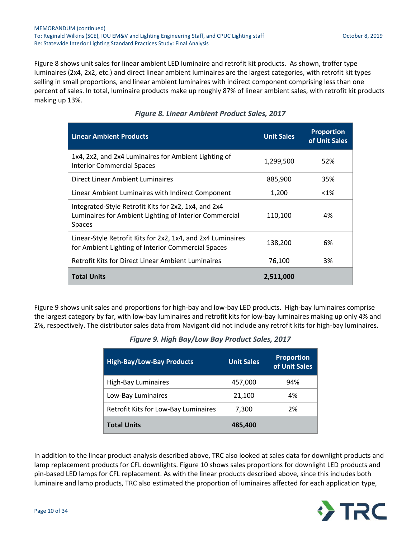[Figure 8](#page-9-0) shows unit sales for linear ambient LED luminaire and retrofit kit products. As shown, troffer type luminaires (2x4, 2x2, etc.) and direct linear ambient luminaires are the largest categories, with retrofit kit types selling in small proportions, and linear ambient luminaires with indirect component comprising less than one percent of sales. In total, luminaire products make up roughly 87% of linear ambient sales, with retrofit kit products making up 13%.

<span id="page-9-0"></span>

| <b>Linear Ambient Products</b>                                                                                           | <b>Unit Sales</b> | <b>Proportion</b><br>of Unit Sales |
|--------------------------------------------------------------------------------------------------------------------------|-------------------|------------------------------------|
| 1x4, 2x2, and 2x4 Luminaires for Ambient Lighting of<br><b>Interior Commercial Spaces</b>                                | 1,299,500         | 52%                                |
| Direct Linear Ambient Luminaires                                                                                         | 885,900           | 35%                                |
| Linear Ambient Luminaires with Indirect Component                                                                        | 1,200             | $< 1\%$                            |
| Integrated-Style Retrofit Kits for 2x2, 1x4, and 2x4<br>Luminaires for Ambient Lighting of Interior Commercial<br>Spaces | 110,100           | 4%                                 |
| Linear-Style Retrofit Kits for 2x2, 1x4, and 2x4 Luminaires<br>for Ambient Lighting of Interior Commercial Spaces        | 138,200           | 6%                                 |
| <b>Retrofit Kits for Direct Linear Ambient Luminaires</b>                                                                | 76,100            | 3%                                 |
| <b>Total Units</b>                                                                                                       | 2,511,000         |                                    |

#### *Figure 8. Linear Ambient Product Sales, 2017*

<span id="page-9-1"></span>[Figure 9](#page-9-1) shows unit sales and proportions for high-bay and low-bay LED products. High-bay luminaires comprise the largest category by far, with low-bay luminaires and retrofit kits for low-bay luminaires making up only 4% and 2%, respectively. The distributor sales data from Navigant did not include any retrofit kits for high-bay luminaires.

|  |  | Figure 9. High Bay/Low Bay Product Sales, 2017 |  |  |  |  |
|--|--|------------------------------------------------|--|--|--|--|
|--|--|------------------------------------------------|--|--|--|--|

| <b>High-Bay/Low-Bay Products</b>     | <b>Unit Sales</b> | <b>Proportion</b><br>of Unit Sales |
|--------------------------------------|-------------------|------------------------------------|
| <b>High-Bay Luminaires</b>           | 457,000           | 94%                                |
| Low-Bay Luminaires                   | 21,100            | 4%                                 |
| Retrofit Kits for Low-Bay Luminaires | 7,300             | 2%                                 |
| <b>Total Units</b>                   | 485,400           |                                    |

In addition to the linear product analysis described above, TRC also looked at sales data for downlight products and lamp replacement products for CFL downlights[. Figure 10](#page-10-0) shows sales proportions for downlight LED products and pin-based LED lamps for CFL replacement. As with the linear products described above, since this includes both luminaire and lamp products, TRC also estimated the proportion of luminaires affected for each application type,

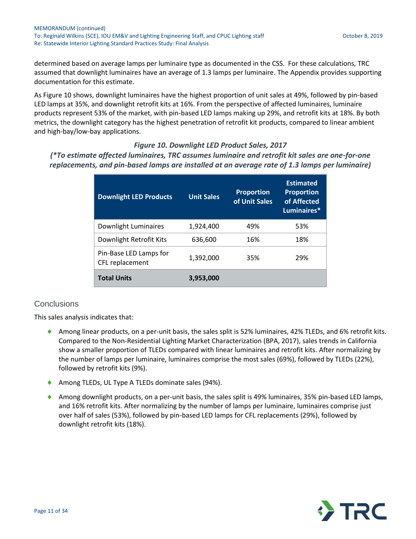determined based on average lamps per luminaire type as documented in the CSS. For these calculations, TRC assumed that downlight luminaires have an average of 1.3 lamps per luminaire. The Appendix provides supporting documentation for this estimate.

A[s Figure 10](#page-10-0) shows, downlight luminaires have the highest proportion of unit sales at 49%, followed by pin-based LED lamps at 35%, and downlight retrofit kits at 16%. From the perspective of affected luminaires, luminaire products represent 53% of the market, with pin-based LED lamps making up 29%, and retrofit kits at 18%. By both metrics, the downlight category has the highest penetration of retrofit kit products, compared to linear ambient and high-bay/low-bay applications.

#### <span id="page-10-0"></span>*Figure 10. Downlight LED Product Sales, 2017 (\*To estimate affected luminaires, TRC assumes luminaire and retrofit kit sales are one-for-one replacements, and pin-based lamps are installed at an average rate of 1.3 lamps per luminaire)*

| <b>Downlight LED Products</b>             | <b>Unit Sales</b> | <b>Proportion</b><br>of Unit Sales | <b>Estimated</b><br><b>Proportion</b><br>of Affected<br>Luminaires* |
|-------------------------------------------|-------------------|------------------------------------|---------------------------------------------------------------------|
| Downlight Luminaires                      | 1.924.400         | 49%                                | 53%                                                                 |
| Downlight Retrofit Kits                   | 636,600           | 16%                                | 18%                                                                 |
| Pin-Base LED Lamps for<br>CFL replacement | 1,392,000         | 35%                                | 29%                                                                 |
| <b>Total Units</b>                        | 3,953,000         |                                    |                                                                     |

### **Conclusions**

This sales analysis indicates that:

- Among linear products, on a per-unit basis, the sales split is 52% luminaires, 42% TLEDs, and 6% retrofit kits. Compared to the Non-Residential Lighting Market Characterization (BPA, 2017), sales trends in California show a smaller proportion of TLEDs compared with linear luminaires and retrofit kits. After normalizing by the number of lamps per luminaire, luminaires comprise the most sales (69%), followed by TLEDs (22%), followed by retrofit kits (9%).
- Among TLEDs, UL Type A TLEDs dominate sales (94%).
- Among downlight products, on a per-unit basis, the sales split is 49% luminaires, 35% pin-based LED lamps, and 16% retrofit kits. After normalizing by the number of lamps per luminaire, luminaires comprise just over half of sales (53%), followed by pin-based LED lamps for CFL replacements (29%), followed by downlight retrofit kits (18%).

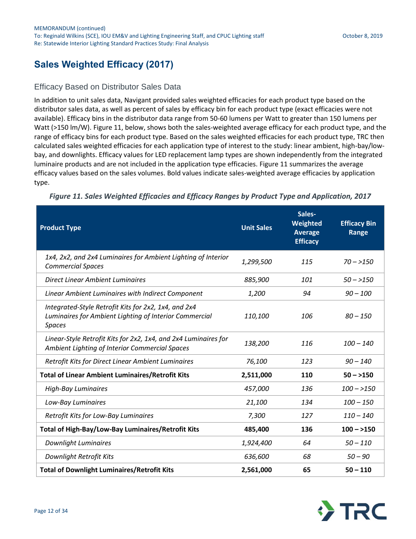## **Sales Weighted Efficacy (2017)**

### Efficacy Based on Distributor Sales Data

In addition to unit sales data, Navigant provided sales weighted efficacies for each product type based on the distributor sales data, as well as percent of sales by efficacy bin for each product type (exact efficacies were not available). Efficacy bins in the distributor data range from 50-60 lumens per Watt to greater than 150 lumens per Watt (>150 lm/W). [Figure 11,](#page-11-0) below, shows both the sales-weighted average efficacy for each product type, and the range of efficacy bins for each product type. Based on the sales weighted efficacies for each product type, TRC then calculated sales weighted efficacies for each application type of interest to the study: linear ambient, high-bay/lowbay, and downlights. Efficacy values for LED replacement lamp types are shown independently from the integrated luminaire products and are not included in the application type efficacies. [Figure 11](#page-11-0) summarizes the average efficacy values based on the sales volumes. Bold values indicate sales-weighted average efficacies by application type.

| <b>Product Type</b>                                                                                                             | <b>Unit Sales</b> | Sales-<br>Weighted<br><b>Average</b><br><b>Efficacy</b> | <b>Efficacy Bin</b><br>Range |
|---------------------------------------------------------------------------------------------------------------------------------|-------------------|---------------------------------------------------------|------------------------------|
| 1x4, 2x2, and 2x4 Luminaires for Ambient Lighting of Interior<br><b>Commercial Spaces</b>                                       | 1,299,500         | 115                                                     | $70 - > 150$                 |
| <b>Direct Linear Ambient Luminaires</b>                                                                                         | 885,900           | 101                                                     | $50 - > 150$                 |
| Linear Ambient Luminaires with Indirect Component                                                                               | 1,200             | 94                                                      | $90 - 100$                   |
| Integrated-Style Retrofit Kits for 2x2, 1x4, and 2x4<br>Luminaires for Ambient Lighting of Interior Commercial<br><b>Spaces</b> | 110,100           | 106                                                     | $80 - 150$                   |
| Linear-Style Retrofit Kits for 2x2, 1x4, and 2x4 Luminaires for<br>Ambient Lighting of Interior Commercial Spaces               | 138,200           | 116                                                     | $100 - 140$                  |
| Retrofit Kits for Direct Linear Ambient Luminaires                                                                              | 76,100            | 123                                                     | $90 - 140$                   |
| <b>Total of Linear Ambient Luminaires/Retrofit Kits</b>                                                                         | 2,511,000         | 110                                                     | $50 - 150$                   |
| <b>High-Bay Luminaires</b>                                                                                                      | 457,000           | 136                                                     | $100 - > 150$                |
| Low-Bay Luminaires                                                                                                              | 21,100            | 134                                                     | $100 - 150$                  |
| Retrofit Kits for Low-Bay Luminaires                                                                                            | 7,300             | 127                                                     | $110 - 140$                  |
| Total of High-Bay/Low-Bay Luminaires/Retrofit Kits                                                                              | 485,400           | 136                                                     | $100 - 150$                  |
| <b>Downlight Luminaires</b>                                                                                                     | 1,924,400         | 64                                                      | $50 - 110$                   |
| Downlight Retrofit Kits                                                                                                         | 636,600           | 68                                                      | $50 - 90$                    |
| <b>Total of Downlight Luminaires/Retrofit Kits</b>                                                                              | 2,561,000         | 65                                                      | $50 - 110$                   |

<span id="page-11-0"></span>*Figure 11. Sales Weighted Efficacies and Efficacy Ranges by Product Type and Application, 2017*

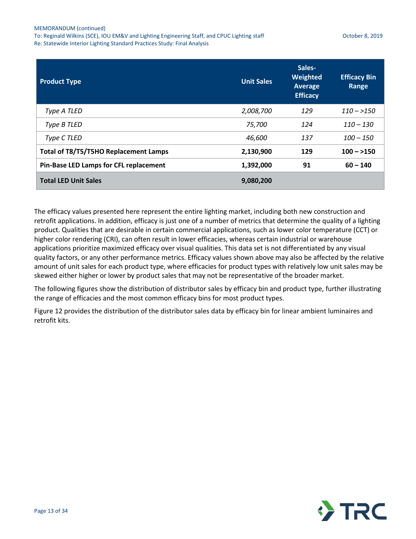| <b>Product Type</b>                           | <b>Unit Sales</b> | Sales-<br>Weighted<br>Average<br><b>Efficacy</b> | <b>Efficacy Bin</b><br>Range |
|-----------------------------------------------|-------------------|--------------------------------------------------|------------------------------|
| Type A TLED                                   | 2,008,700         | 129                                              | $110 - > 150$                |
| Type B TLED                                   | 75,700            | 124                                              | $110 - 130$                  |
| Type C TLED                                   | 46,600            | 137                                              | $100 - 150$                  |
| Total of T8/T5/T5HO Replacement Lamps         | 2,130,900         | 129                                              | $100 - 150$                  |
| <b>Pin-Base LED Lamps for CFL replacement</b> | 1,392,000         | 91                                               | $60 - 140$                   |
| <b>Total LED Unit Sales</b>                   | 9,080,200         |                                                  |                              |

The efficacy values presented here represent the entire lighting market, including both new construction and retrofit applications. In addition, efficacy is just one of a number of metrics that determine the quality of a lighting product. Qualities that are desirable in certain commercial applications, such as lower color temperature (CCT) or higher color rendering (CRI), can often result in lower efficacies, whereas certain industrial or warehouse applications prioritize maximized efficacy over visual qualities. This data set is not differentiated by any visual quality factors, or any other performance metrics. Efficacy values shown above may also be affected by the relative amount of unit sales for each product type, where efficacies for product types with relatively low unit sales may be skewed either higher or lower by product sales that may not be representative of the broader market.

The following figures show the distribution of distributor sales by efficacy bin and product type, further illustrating the range of efficacies and the most common efficacy bins for most product types.

[Figure 12](#page-13-0) provides the distribution of the distributor sales data by efficacy bin for linear ambient luminaires and retrofit kits.

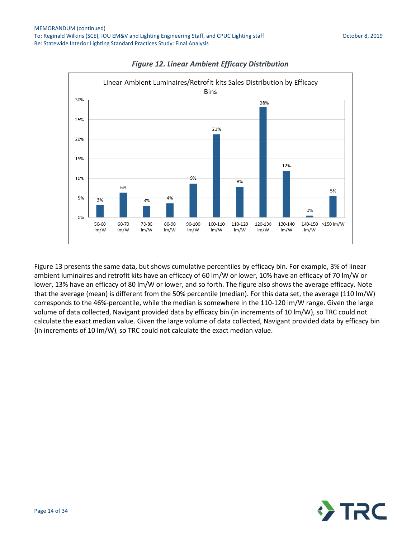<span id="page-13-0"></span>



[Figure 13](#page-14-0) presents the same data, but shows cumulative percentiles by efficacy bin. For example, 3% of linear ambient luminaires and retrofit kits have an efficacy of 60 lm/W or lower, 10% have an efficacy of 70 lm/W or lower, 13% have an efficacy of 80 lm/W or lower, and so forth. The figure also shows the average efficacy. Note that the average (mean) is different from the 50% percentile (median). For this data set, the average (110 lm/W) corresponds to the 46%-percentile, while the median is somewhere in the 110-120 lm/W range. Given the large volume of data collected, Navigant provided data by efficacy bin (in increments of 10 lm/W), so TRC could not calculate the exact median value. Given the large volume of data collected, Navigant provided data by efficacy bin (in increments of 10 lm/W), so TRC could not calculate the exact median value.

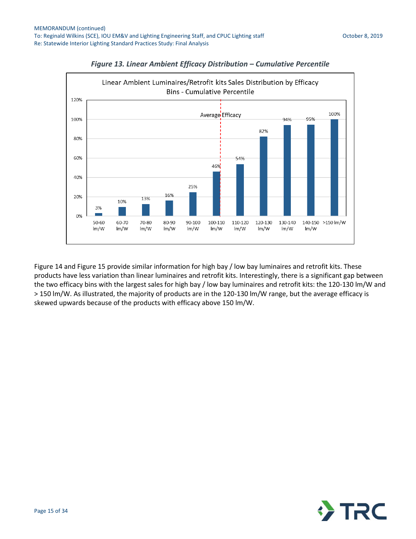<span id="page-14-0"></span>



[Figure 14](#page-15-0) an[d Figure 15](#page-15-1) provide similar information for high bay / low bay luminaires and retrofit kits. These products have less variation than linear luminaires and retrofit kits. Interestingly, there is a significant gap between the two efficacy bins with the largest sales for high bay / low bay luminaires and retrofit kits: the 120-130 lm/W and > 150 lm/W. As illustrated, the majority of products are in the 120-130 lm/W range, but the average efficacy is skewed upwards because of the products with efficacy above 150 lm/W.

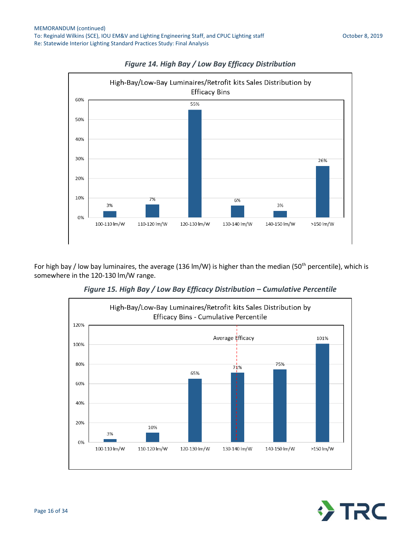<span id="page-15-0"></span>



<span id="page-15-1"></span>For high bay / low bay luminaires, the average (136 lm/W) is higher than the median (50<sup>th</sup> percentile), which is somewhere in the 120-130 lm/W range.

*Figure 15. High Bay / Low Bay Efficacy Distribution – Cumulative Percentile*



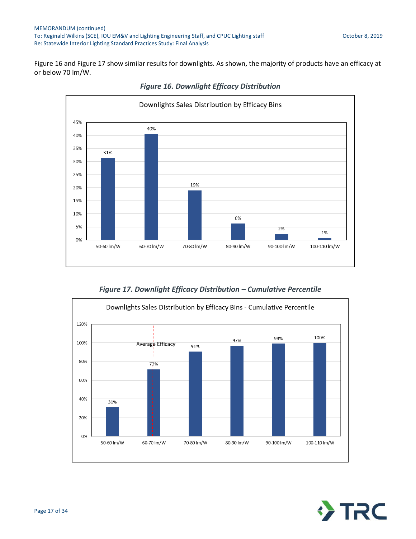<span id="page-16-0"></span>[Figure 16](#page-16-0) an[d Figure 17](#page-16-1) show similar results for downlights. As shown, the majority of products have an efficacy at or below 70 lm/W.



*Figure 16. Downlight Efficacy Distribution*

*Figure 17. Downlight Efficacy Distribution – Cumulative Percentile*

<span id="page-16-1"></span>

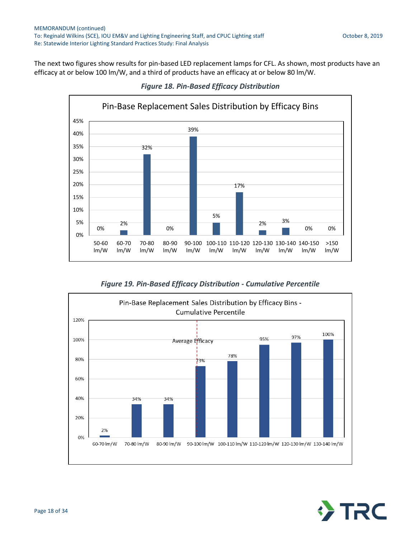The next two figures show results for pin-based LED replacement lamps for CFL. As shown, most products have an efficacy at or below 100 lm/W, and a third of products have an efficacy at or below 80 lm/W.



*Figure 18. Pin-Based Efficacy Distribution*

*Figure 19. Pin-Based Efficacy Distribution - Cumulative Percentile*



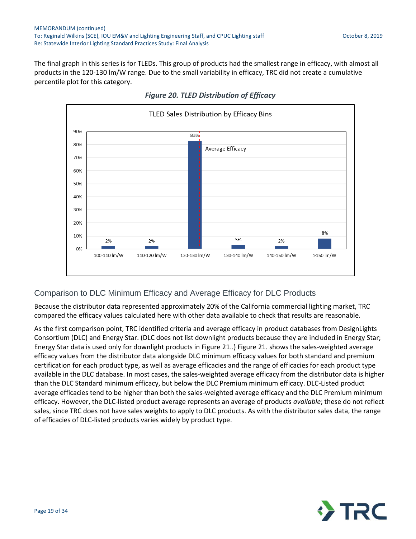<span id="page-18-0"></span>The final graph in this series is for TLEDs. This group of products had the smallest range in efficacy, with almost all products in the 120-130 lm/W range. Due to the small variability in efficacy, TRC did not create a cumulative percentile plot for this category.



### *Figure 20. TLED Distribution of Efficacy*

### Comparison to DLC Minimum Efficacy and Average Efficacy for DLC Products

Because the distributor data represented approximately 20% of the California commercial lighting market, TRC compared the efficacy values calculated here with other data available to check that results are reasonable.

As the first comparison point, TRC identified criteria and average efficacy in product databases from DesignLights Consortium (DLC) and Energy Star. (DLC does not list downlight products because they are included in Energy Star; Energy Star data is used only for downlight products in [Figure 21..\) Figure 21.](#page-19-0) shows the sales-weighted average efficacy values from the distributor data alongside DLC minimum efficacy values for both standard and premium certification for each product type, as well as average efficacies and the range of efficacies for each product type available in the DLC database. In most cases, the sales-weighted average efficacy from the distributor data is higher than the DLC Standard minimum efficacy, but below the DLC Premium minimum efficacy. DLC-Listed product average efficacies tend to be higher than both the sales-weighted average efficacy and the DLC Premium minimum efficacy. However, the DLC-listed product average represents an average of products *available*; these do not reflect sales, since TRC does not have sales weights to apply to DLC products. As with the distributor sales data, the range of efficacies of DLC-listed products varies widely by product type.

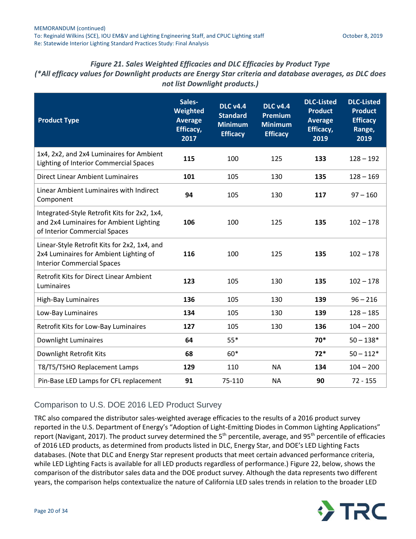## *Figure 21. Sales Weighted Efficacies and DLC Efficacies by Product Type*

<span id="page-19-0"></span>*(\*All efficacy values for Downlight products are Energy Star criteria and database averages, as DLC does not list Downlight products.)*

| <b>Product Type</b>                                                                                                         | Sales-<br>Weighted<br><b>Average</b><br>Efficacy,<br>2017 | <b>DLC v4.4</b><br><b>Standard</b><br><b>Minimum</b><br><b>Efficacy</b> | <b>DLC v4.4</b><br><b>Premium</b><br><b>Minimum</b><br><b>Efficacy</b> | <b>DLC-Listed</b><br><b>Product</b><br><b>Average</b><br>Efficacy,<br>2019 | <b>DLC-Listed</b><br><b>Product</b><br><b>Efficacy</b><br>Range,<br>2019 |
|-----------------------------------------------------------------------------------------------------------------------------|-----------------------------------------------------------|-------------------------------------------------------------------------|------------------------------------------------------------------------|----------------------------------------------------------------------------|--------------------------------------------------------------------------|
| 1x4, 2x2, and 2x4 Luminaires for Ambient<br><b>Lighting of Interior Commercial Spaces</b>                                   | 115                                                       | 100                                                                     | 125                                                                    | 133                                                                        | $128 - 192$                                                              |
| <b>Direct Linear Ambient Luminaires</b>                                                                                     | 101                                                       | 105                                                                     | 130                                                                    | 135                                                                        | $128 - 169$                                                              |
| Linear Ambient Luminaires with Indirect<br>Component                                                                        | 94                                                        | 105                                                                     | 130                                                                    | 117                                                                        | $97 - 160$                                                               |
| Integrated-Style Retrofit Kits for 2x2, 1x4,<br>and 2x4 Luminaires for Ambient Lighting<br>of Interior Commercial Spaces    | 106                                                       | 100                                                                     | 125                                                                    | 135                                                                        | $102 - 178$                                                              |
| Linear-Style Retrofit Kits for 2x2, 1x4, and<br>2x4 Luminaires for Ambient Lighting of<br><b>Interior Commercial Spaces</b> | 116                                                       | 100                                                                     | 125                                                                    | 135                                                                        | $102 - 178$                                                              |
| <b>Retrofit Kits for Direct Linear Ambient</b><br>Luminaires                                                                | 123                                                       | 105                                                                     | 130                                                                    | 135                                                                        | $102 - 178$                                                              |
| <b>High-Bay Luminaires</b>                                                                                                  | 136                                                       | 105                                                                     | 130                                                                    | 139                                                                        | $96 - 216$                                                               |
| Low-Bay Luminaires                                                                                                          | 134                                                       | 105                                                                     | 130                                                                    | 139                                                                        | $128 - 185$                                                              |
| Retrofit Kits for Low-Bay Luminaires                                                                                        | 127                                                       | 105                                                                     | 130                                                                    | 136                                                                        | $104 - 200$                                                              |
| Downlight Luminaires                                                                                                        | 64                                                        | $55*$                                                                   |                                                                        | 70*                                                                        | $50 - 138*$                                                              |
| Downlight Retrofit Kits                                                                                                     | 68                                                        | $60*$                                                                   |                                                                        | $72*$                                                                      | $50 - 112*$                                                              |
| T8/T5/T5HO Replacement Lamps                                                                                                | 129                                                       | 110                                                                     | <b>NA</b>                                                              | 134                                                                        | $104 - 200$                                                              |
| Pin-Base LED Lamps for CFL replacement                                                                                      | 91                                                        | 75-110                                                                  | <b>NA</b>                                                              | 90                                                                         | $72 - 155$                                                               |

### Comparison to U.S. DOE 2016 LED Product Survey

TRC also compared the distributor sales-weighted average efficacies to the results of a 2016 product survey reported in the U.S. Department of Energy's "Adoption of Light-Emitting Diodes in Common Lighting Applications" report (Navigant, 2017). The product survey determined the 5<sup>th</sup> percentile, average, and 95<sup>th</sup> percentile of efficacies of 2016 LED products, as determined from products listed in DLC, Energy Star, and DOE's LED Lighting Facts databases. (Note that DLC and Energy Star represent products that meet certain advanced performance criteria, while LED Lighting Facts is available for all LED products regardless of performance.) [Figure 22,](#page-20-0) below, shows the comparison of the distributor sales data and the DOE product survey. Although the data represents two different years, the comparison helps contextualize the nature of California LED sales trends in relation to the broader LED

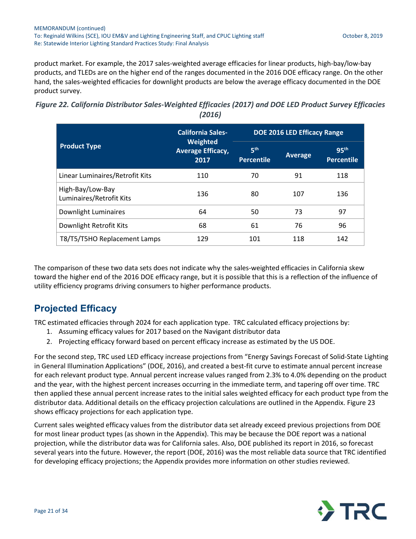product market. For example, the 2017 sales-weighted average efficacies for linear products, high-bay/low-bay products, and TLEDs are on the higher end of the ranges documented in the 2016 DOE efficacy range. On the other hand, the sales-weighted efficacies for downlight products are below the average efficacy documented in the DOE product survey.

<span id="page-20-0"></span>

| Figure 22. California Distributor Sales-Weighted Efficacies (2017) and DOE LED Product Survey Efficacies |  |
|----------------------------------------------------------------------------------------------------------|--|
| (2016)                                                                                                   |  |

|                                              | <b>California Sales-</b>                     |                                      | <b>DOE 2016 LED Efficacy Range</b> |                                       |
|----------------------------------------------|----------------------------------------------|--------------------------------------|------------------------------------|---------------------------------------|
| <b>Product Type</b>                          | Weighted<br><b>Average Efficacy,</b><br>2017 | 5 <sup>th</sup><br><b>Percentile</b> | <b>Average</b>                     | 95 <sup>th</sup><br><b>Percentile</b> |
| Linear Luminaires/Retrofit Kits              | 110                                          | 70                                   | 91                                 | 118                                   |
| High-Bay/Low-Bay<br>Luminaires/Retrofit Kits | 136                                          | 80                                   | 107                                | 136                                   |
| Downlight Luminaires                         | 64                                           | 50                                   | 73                                 | 97                                    |
| Downlight Retrofit Kits                      | 68                                           | 61                                   | 76                                 | 96                                    |
| T8/T5/T5HO Replacement Lamps                 | 129                                          | 101                                  | 118                                | 142                                   |

The comparison of these two data sets does not indicate why the sales-weighted efficacies in California skew toward the higher end of the 2016 DOE efficacy range, but it is possible that this is a reflection of the influence of utility efficiency programs driving consumers to higher performance products.

## **Projected Efficacy**

TRC estimated efficacies through 2024 for each application type. TRC calculated efficacy projections by:

- 1. Assuming efficacy values for 2017 based on the Navigant distributor data
- 2. Projecting efficacy forward based on percent efficacy increase as estimated by the US DOE.

For the second step, TRC used LED efficacy increase projections from "Energy Savings Forecast of Solid-State Lighting in General Illumination Applications" (DOE, 2016), and created a best-fit curve to estimate annual percent increase for each relevant product type. Annual percent increase values ranged from 2.3% to 4.0% depending on the product and the year, with the highest percent increases occurring in the immediate term, and tapering off over time. TRC then applied these annual percent increase rates to the initial sales weighted efficacy for each product type from the distributor data. Additional details on the efficacy projection calculations are outlined in the Appendix. [Figure 23](#page-21-0) shows efficacy projections for each application type.

Current sales weighted efficacy values from the distributor data set already exceed previous projections from DOE for most linear product types (as shown in the Appendix). This may be because the DOE report was a national projection, while the distributor data was for California sales. Also, DOE published its report in 2016, so forecast several years into the future. However, the report (DOE, 2016) was the most reliable data source that TRC identified for developing efficacy projections; the Appendix provides more information on other studies reviewed.

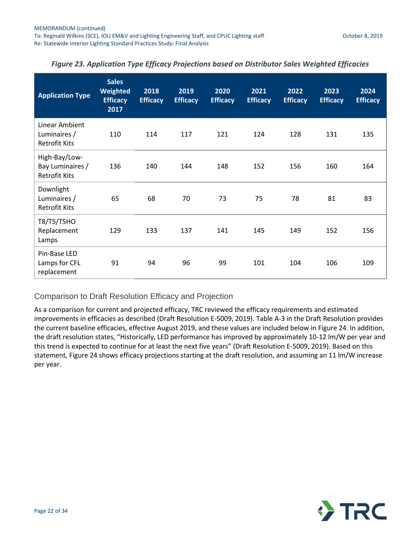| <b>Application Type</b>                                   | <b>Sales</b><br>Weighted<br><b>Efficacy</b><br>2017 | 2018<br><b>Efficacy</b> | 2019<br><b>Efficacy</b> | 2020<br><b>Efficacy</b> | 2021<br><b>Efficacy</b> | 2022<br><b>Efficacy</b> | 2023<br><b>Efficacy</b> | 2024<br><b>Efficacy</b> |
|-----------------------------------------------------------|-----------------------------------------------------|-------------------------|-------------------------|-------------------------|-------------------------|-------------------------|-------------------------|-------------------------|
| Linear Ambient<br>Luminaires /<br><b>Retrofit Kits</b>    | 110                                                 | 114                     | 117                     | 121                     | 124                     | 128                     | 131                     | 135                     |
| High-Bay/Low-<br>Bay Luminaires /<br><b>Retrofit Kits</b> | 136                                                 | 140                     | 144                     | 148                     | 152                     | 156                     | 160                     | 164                     |
| Downlight<br>Luminaires /<br><b>Retrofit Kits</b>         | 65                                                  | 68                      | 70                      | 73                      | 75                      | 78                      | 81                      | 83                      |
| T8/T5/T5HO<br>Replacement<br>Lamps                        | 129                                                 | 133                     | 137                     | 141                     | 145                     | 149                     | 152                     | 156                     |
| Pin-Base LED<br>Lamps for CFL<br>replacement              | 91                                                  | 94                      | 96                      | 99                      | 101                     | 104                     | 106                     | 109                     |

### <span id="page-21-0"></span>*Figure 23. Application Type Efficacy Projections based on Distributor Sales Weighted Efficacies*

### Comparison to Draft Resolution Efficacy and Projection

As a comparison for current and projected efficacy, TRC reviewed the efficacy requirements and estimated improvements in efficacies as described (Draft Resolution E-5009, 2019). Table A-3 in the Draft Resolution provides the current baseline efficacies, effective August 2019, and these values are included below in [Figure 24.](#page-22-0) In addition, the draft resolution states, "Historically, LED performance has improved by approximately 10-12 lm/W per year and this trend is expected to continue for at least the next five years" (Draft Resolution E-5009, 2019). Based on this statement, [Figure 24](#page-22-0) shows efficacy projections starting at the draft resolution, and assuming an 11 lm/W increase per year.

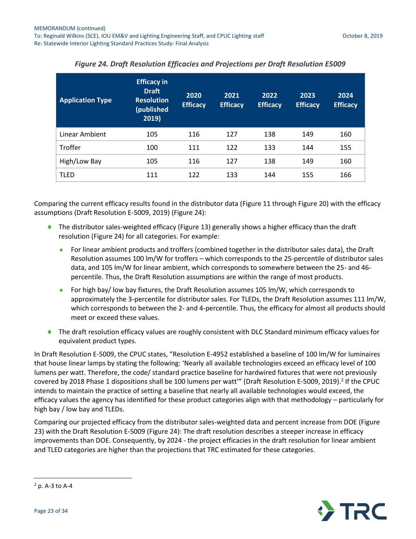<span id="page-22-0"></span>

| <b>Application Type</b> | <b>Efficacy in</b><br><b>Draft</b><br><b>Resolution</b><br>(published<br>2019) | 2020<br><b>Efficacy</b> | 2021<br><b>Efficacy</b> | 2022<br><b>Efficacy</b> | 2023<br><b>Efficacy</b> | 2024<br><b>Efficacy</b> |
|-------------------------|--------------------------------------------------------------------------------|-------------------------|-------------------------|-------------------------|-------------------------|-------------------------|
| Linear Ambient          | 105                                                                            | 116                     | 127                     | 138                     | 149                     | 160                     |
| <b>Troffer</b>          | 100                                                                            | 111                     | 122                     | 133                     | 144                     | 155                     |
| High/Low Bay            | 105                                                                            | 116                     | 127                     | 138                     | 149                     | 160                     |
| <b>TLED</b>             | 111                                                                            | 122                     | 133                     | 144                     | 155                     | 166                     |

### *Figure 24. Draft Resolution Efficacies and Projections per Draft Resolution E5009*

Comparing the current efficacy results found in the distributor data [\(Figure 11](#page-11-0) through [Figure 20\)](#page-18-0) with the efficacy assumptions (Draft Resolution E-5009, 2019) [\(Figure 24\)](#page-22-0):

- ◆ The distributor sales-weighted efficacy [\(Figure 13\)](#page-14-0) generally shows a higher efficacy than the draft resolution [\(Figure 24\)](#page-22-0) for all categories. For example:
	- For linear ambient products and troffers (combined together in the distributor sales data), the Draft Resolution assumes 100 lm/W for troffers – which corresponds to the 25-percentile of distributor sales data, and 105 lm/W for linear ambient, which corresponds to somewhere between the 25- and 46 percentile. Thus, the Draft Resolution assumptions are within the range of most products.
	- For high bay/ low bay fixtures, the Draft Resolution assumes 105 lm/W, which corresponds to approximately the 3-percentile for distributor sales. For TLEDs, the Draft Resolution assumes 111 lm/W, which corresponds to between the 2- and 4-percentile. Thus, the efficacy for almost all products should meet or exceed these values.
- ◆ The draft resolution efficacy values are roughly consistent with DLC Standard minimum efficacy values for equivalent product types.

In Draft Resolution E-5009, the CPUC states, "Resolution E-4952 established a baseline of 100 lm/W for luminaires that house linear lamps by stating the following: 'Nearly all available technologies exceed an efficacy level of 100 lumens per watt. Therefore, the code/ standard practice baseline for hardwired fixtures that were not previously covered by 2018 Phase 1 dispositions shall be 100 lumens per watt'" (Draft Resolution E-5009, 2019).<sup>2</sup> If the CPUC intends to maintain the practice of setting a baseline that nearly all available technologies would exceed, the efficacy values the agency has identified for these product categories align with that methodology – particularly for high bay / low bay and TLEDs.

Comparing our projected efficacy from the distributor sales-weighted data and percent increase from DOE [\(Figure](#page-21-0)  [23\)](#page-21-0) with the Draft Resolution E-5009 [\(Figure 24\)](#page-22-0): The draft resolution describes a steeper increase in efficacy improvements than DOE. Consequently, by 2024 - the project efficacies in the draft resolution for linear ambient and TLED categories are higher than the projections that TRC estimated for these categories.

 $\overline{a}$ 



<sup>2</sup> p. A-3 to A-4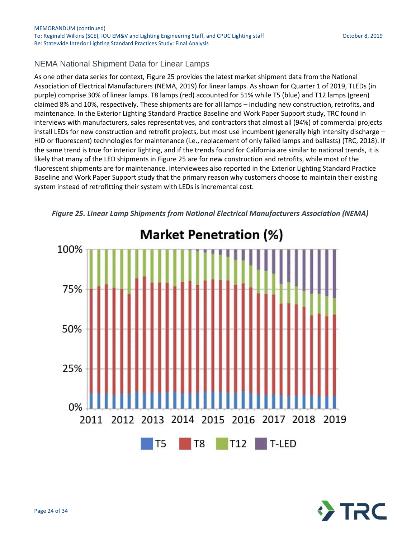### NEMA National Shipment Data for Linear Lamps

As one other data series for context, [Figure 25](#page-23-0) provides the latest market shipment data from the National Association of Electrical Manufacturers (NEMA, 2019) for linear lamps. As shown for Quarter 1 of 2019, TLEDs (in purple) comprise 30% of linear lamps. T8 lamps (red) accounted for 51% while T5 (blue) and T12 lamps (green) claimed 8% and 10%, respectively. These shipments are for all lamps – including new construction, retrofits, and maintenance. In the Exterior Lighting Standard Practice Baseline and Work Paper Support study, TRC found in interviews with manufacturers, sales representatives, and contractors that almost all (94%) of commercial projects install LEDs for new construction and retrofit projects, but most use incumbent (generally high intensity discharge – HID or fluorescent) technologies for maintenance (i.e., replacement of only failed lamps and ballasts) (TRC, 2018). If the same trend is true for interior lighting, and if the trends found for California are similar to national trends, it is likely that many of the LED shipments in [Figure 25](#page-23-0) are for new construction and retrofits, while most of the fluorescent shipments are for maintenance. Interviewees also reported in the Exterior Lighting Standard Practice Baseline and Work Paper Support study that the primary reason why customers choose to maintain their existing system instead of retrofitting their system with LEDs is incremental cost.



<span id="page-23-0"></span>*Figure 25. Linear Lamp Shipments from National Electrical Manufacturers Association (NEMA)* 

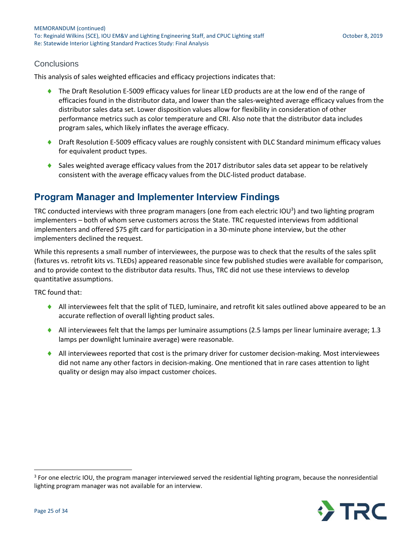### **Conclusions**

This analysis of sales weighted efficacies and efficacy projections indicates that:

- ◆ The Draft Resolution E-5009 efficacy values for linear LED products are at the low end of the range of efficacies found in the distributor data, and lower than the sales-weighted average efficacy values from the distributor sales data set. Lower disposition values allow for flexibility in consideration of other performance metrics such as color temperature and CRI. Also note that the distributor data includes program sales, which likely inflates the average efficacy.
- ◆ Draft Resolution E-5009 efficacy values are roughly consistent with DLC Standard minimum efficacy values for equivalent product types.
- Sales weighted average efficacy values from the 2017 distributor sales data set appear to be relatively consistent with the average efficacy values from the DLC-listed product database.

### **Program Manager and Implementer Interview Findings**

TRC conducted interviews with three program managers (one from each electric IOU<sup>3</sup>) and two lighting program implementers – both of whom serve customers across the State. TRC requested interviews from additional implementers and offered \$75 gift card for participation in a 30-minute phone interview, but the other implementers declined the request.

While this represents a small number of interviewees, the purpose was to check that the results of the sales split (fixtures vs. retrofit kits vs. TLEDs) appeared reasonable since few published studies were available for comparison, and to provide context to the distributor data results. Thus, TRC did not use these interviews to develop quantitative assumptions.

TRC found that:

- All interviewees felt that the split of TLED, luminaire, and retrofit kit sales outlined above appeared to be an accurate reflection of overall lighting product sales.
- All interviewees felt that the lamps per luminaire assumptions (2.5 lamps per linear luminaire average; 1.3 lamps per downlight luminaire average) were reasonable.
- All interviewees reported that cost is the primary driver for customer decision-making. Most interviewees did not name any other factors in decision-making. One mentioned that in rare cases attention to light quality or design may also impact customer choices.

<sup>&</sup>lt;sup>3</sup> For one electric IOU, the program manager interviewed served the residential lighting program, because the nonresidential lighting program manager was not available for an interview.



 $\overline{a}$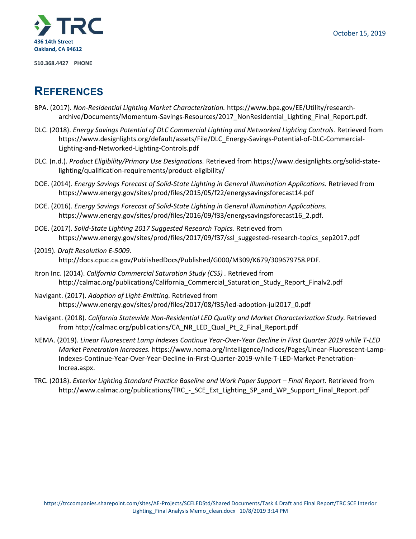

**510.368.4427 PHONE**

## **REFERENCES**

- BPA. (2017). *Non-Residential Lighting Market Characterization.* https://www.bpa.gov/EE/Utility/researcharchive/Documents/Momentum-Savings-Resources/2017\_NonResidential\_Lighting\_Final\_Report.pdf.
- DLC. (2018). *Energy Savings Potential of DLC Commercial Lighting and Networked Lighting Controls.* Retrieved from https://www.designlights.org/default/assets/File/DLC\_Energy-Savings-Potential-of-DLC-Commercial-Lighting-and-Networked-Lighting-Controls.pdf
- DLC. (n.d.). *Product Eligibility/Primary Use Designations.* Retrieved from https://www.designlights.org/solid-statelighting/qualification-requirements/product-eligibility/
- DOE. (2014). *Energy Savings Forecast of Solid-State Lighting in General Illumination Applications.* Retrieved from https://www.energy.gov/sites/prod/files/2015/05/f22/energysavingsforecast14.pdf
- DOE. (2016). *Energy Savings Forecast of Solid-State Lighting in General Illumination Applications.* https://www.energy.gov/sites/prod/files/2016/09/f33/energysavingsforecast16\_2.pdf.
- DOE. (2017). *Solid-State Lighting 2017 Suggested Research Topics.* Retrieved from https://www.energy.gov/sites/prod/files/2017/09/f37/ssl\_suggested-research-topics\_sep2017.pdf
- (2019). *Draft Resolution E-5009.* http://docs.cpuc.ca.gov/PublishedDocs/Published/G000/M309/K679/309679758.PDF.
- Itron Inc. (2014). *California Commercial Saturation Study (CSS) .* Retrieved from http://calmac.org/publications/California\_Commercial\_Saturation\_Study\_Report\_Finalv2.pdf
- Navigant. (2017). *Adoption of Light-Emitting.* Retrieved from https://www.energy.gov/sites/prod/files/2017/08/f35/led-adoption-jul2017\_0.pdf
- Navigant. (2018). *California Statewide Non-Residential LED Quality and Market Characterization Study.* Retrieved from http://calmac.org/publications/CA\_NR\_LED\_Qual\_Pt\_2\_Final\_Report.pdf
- NEMA. (2019). *Linear Fluorescent Lamp Indexes Continue Year-Over-Year Decline in First Quarter 2019 while T-LED Market Penetration Increases.* https://www.nema.org/Intelligence/Indices/Pages/Linear-Fluorescent-Lamp-Indexes-Continue-Year-Over-Year-Decline-in-First-Quarter-2019-while-T-LED-Market-Penetration-Increa.aspx.
- TRC. (2018). *Exterior Lighting Standard Practice Baseline and Work Paper Support Final Report.* Retrieved from http://www.calmac.org/publications/TRC\_-\_SCE\_Ext\_Lighting\_SP\_and\_WP\_Support\_Final\_Report.pdf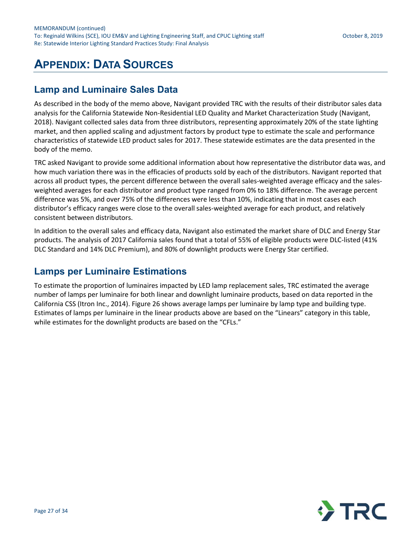# **APPENDIX: DATA SOURCES**

## **Lamp and Luminaire Sales Data**

As described in the body of the memo above, Navigant provided TRC with the results of their distributor sales data analysis for the California Statewide Non-Residential LED Quality and Market Characterization Study (Navigant, 2018). Navigant collected sales data from three distributors, representing approximately 20% of the state lighting market, and then applied scaling and adjustment factors by product type to estimate the scale and performance characteristics of statewide LED product sales for 2017. These statewide estimates are the data presented in the body of the memo.

TRC asked Navigant to provide some additional information about how representative the distributor data was, and how much variation there was in the efficacies of products sold by each of the distributors. Navigant reported that across all product types, the percent difference between the overall sales-weighted average efficacy and the salesweighted averages for each distributor and product type ranged from 0% to 18% difference. The average percent difference was 5%, and over 75% of the differences were less than 10%, indicating that in most cases each distributor's efficacy ranges were close to the overall sales-weighted average for each product, and relatively consistent between distributors.

In addition to the overall sales and efficacy data, Navigant also estimated the market share of DLC and Energy Star products. The analysis of 2017 California sales found that a total of 55% of eligible products were DLC-listed (41% DLC Standard and 14% DLC Premium), and 80% of downlight products were Energy Star certified.

### **Lamps per Luminaire Estimations**

To estimate the proportion of luminaires impacted by LED lamp replacement sales, TRC estimated the average number of lamps per luminaire for both linear and downlight luminaire products, based on data reported in the California CSS (Itron Inc., 2014). [Figure 26](#page-27-0) shows average lamps per luminaire by lamp type and building type. Estimates of lamps per luminaire in the linear products above are based on the "Linears" category in this table, while estimates for the downlight products are based on the "CFLs."

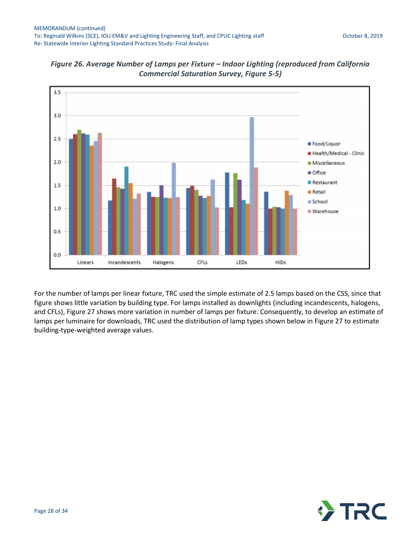

<span id="page-27-0"></span>

For the number of lamps per linear fixture, TRC used the simple estimate of 2.5 lamps based on the CSS, since that figure shows little variation by building type. For lamps installed as downlights (including incandescents, halogens, and CFLs), [Figure 27](#page-28-0) shows more variation in number of lamps per fixture. Consequently, to develop an estimate of lamps per luminaire for downloads, TRC used the distribution of lamp types shown below in [Figure 27](#page-28-0) to estimate building-type-weighted average values.

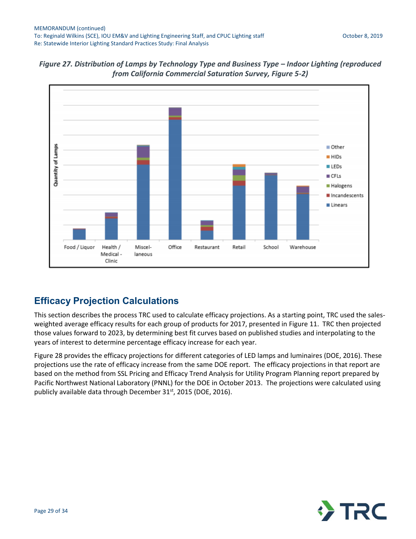

<span id="page-28-0"></span>*Figure 27. Distribution of Lamps by Technology Type and Business Type – Indoor Lighting (reproduced from California Commercial Saturation Survey, Figure 5-2)*

## **Efficacy Projection Calculations**

This section describes the process TRC used to calculate efficacy projections. As a starting point, TRC used the salesweighted average efficacy results for each group of products for 2017, presented in [Figure 11.](#page-11-0) TRC then projected those values forward to 2023, by determining best fit curves based on published studies and interpolating to the years of interest to determine percentage efficacy increase for each year.

[Figure 28](#page-29-0) provides the efficacy projections for different categories of LED lamps and luminaires (DOE, 2016). These projections use the rate of efficacy increase from the same DOE report. The efficacy projections in that report are based on the method from SSL Pricing and Efficacy Trend Analysis for Utility Program Planning report prepared by Pacific Northwest National Laboratory (PNNL) for the DOE in October 2013. The projections were calculated using publicly available data through December 31<sup>st</sup>, 2015 (DOE, 2016).

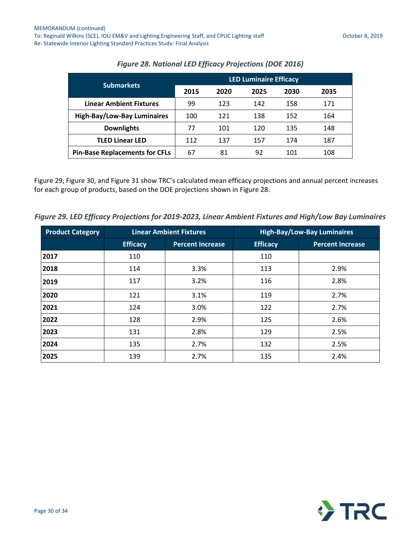<span id="page-29-0"></span>

| <b>Submarkets</b>                     | <b>LED Luminaire Efficacy</b> |      |      |      |      |
|---------------------------------------|-------------------------------|------|------|------|------|
|                                       | 2015                          | 2020 | 2025 | 2030 | 2035 |
| <b>Linear Ambient Fixtures</b>        | 99                            | 123  | 142  | 158  | 171  |
| <b>High-Bay/Low-Bay Luminaires</b>    | 100                           | 121  | 138  | 152  | 164  |
| <b>Downlights</b>                     | 77                            | 101  | 120  | 135  | 148  |
| <b>TLED Linear LED</b>                | 112                           | 137  | 157  | 174  | 187  |
| <b>Pin-Base Replacements for CFLs</b> | 67                            | 81   | 92   | 101  | 108  |

### *Figure 28. National LED Efficacy Projections (DOE 2016)*

[Figure 29,](#page-29-1) [Figure 30,](#page-30-0) and [Figure 31](#page-30-1) show TRC's calculated mean efficacy projections and annual percent increases for each group of products, based on the DOE projections shown in [Figure 28.](#page-29-0)

<span id="page-29-1"></span>*Figure 29. LED Efficacy Projections for 2019-2023, Linear Ambient Fixtures and High/Low Bay Luminaires*

| <b>Product Category</b> |                 | <b>Linear Ambient Fixtures</b> |                 | <b>High-Bay/Low-Bay Luminaires</b> |
|-------------------------|-----------------|--------------------------------|-----------------|------------------------------------|
|                         | <b>Efficacy</b> | <b>Percent Increase</b>        | <b>Efficacy</b> | <b>Percent Increase</b>            |
| 2017                    | 110             |                                | 110             |                                    |
| 2018                    | 114             | 3.3%                           | 113             | 2.9%                               |
| 2019                    | 117             | 3.2%                           | 116             | 2.8%                               |
| 2020                    | 121             | 3.1%                           | 119             | 2.7%                               |
| 2021                    | 124             | 3.0%                           | 122             | 2.7%                               |
| 2022                    | 128             | 2.9%                           | 125             | 2.6%                               |
| 2023                    | 131             | 2.8%                           | 129             | 2.5%                               |
| 2024                    | 135             | 2.7%                           | 132             | 2.5%                               |
| 2025                    | 139             | 2.7%                           | 135             | 2.4%                               |

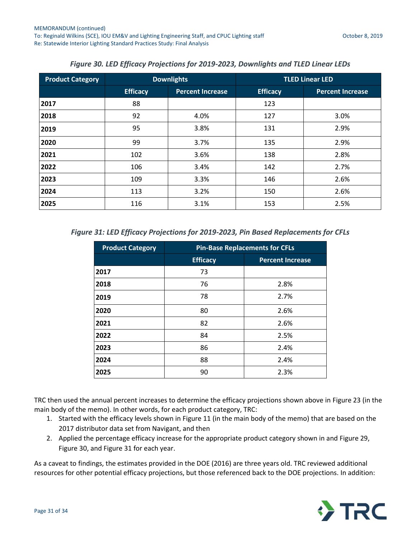<span id="page-30-0"></span>

| <b>Product Category</b> |                 | <b>Downlights</b>       |                 | <b>TLED Linear LED</b>  |
|-------------------------|-----------------|-------------------------|-----------------|-------------------------|
|                         | <b>Efficacy</b> | <b>Percent Increase</b> | <b>Efficacy</b> | <b>Percent Increase</b> |
| 2017                    | 88              |                         | 123             |                         |
| 2018                    | 92              | 4.0%                    | 127             | 3.0%                    |
| 2019                    | 95              | 3.8%                    | 131             | 2.9%                    |
| 2020                    | 99              | 3.7%                    | 135             | 2.9%                    |
| 2021                    | 102             | 3.6%                    | 138             | 2.8%                    |
| 2022                    | 106             | 3.4%                    | 142             | 2.7%                    |
| 2023                    | 109             | 3.3%                    | 146             | 2.6%                    |
| 2024                    | 113             | 3.2%                    | 150             | 2.6%                    |
| 2025                    | 116             | 3.1%                    | 153             | 2.5%                    |

### *Figure 30. LED Efficacy Projections for 2019-2023, Downlights and TLED Linear LEDs*

<span id="page-30-1"></span>*Figure 31: LED Efficacy Projections for 2019-2023, Pin Based Replacements for CFLs*

| <b>Product Category</b> | <b>Pin-Base Replacements for CFLs</b> |                         |  |  |  |  |
|-------------------------|---------------------------------------|-------------------------|--|--|--|--|
|                         | <b>Efficacy</b>                       | <b>Percent Increase</b> |  |  |  |  |
| 2017                    | 73                                    |                         |  |  |  |  |
| 2018                    | 76                                    | 2.8%                    |  |  |  |  |
| 2019                    | 78                                    | 2.7%                    |  |  |  |  |
| 2020                    | 80                                    | 2.6%                    |  |  |  |  |
| 2021                    | 82                                    | 2.6%                    |  |  |  |  |
| 2022                    | 84                                    | 2.5%                    |  |  |  |  |
| 2023                    | 86                                    | 2.4%                    |  |  |  |  |
| 2024                    | 88                                    | 2.4%                    |  |  |  |  |
| 2025                    | 90                                    | 2.3%                    |  |  |  |  |

TRC then used the annual percent increases to determine the efficacy projections shown above in [Figure 23](#page-21-0) (in the main body of the memo). In other words, for each product category, TRC:

- 1. Started with the efficacy levels shown i[n Figure 11](#page-11-0) (in the main body of the memo) that are based on the 2017 distributor data set from Navigant, and then
- 2. Applied the percentage efficacy increase for the appropriate product category shown in and [Figure 29,](#page-29-1) [Figure 30,](#page-30-0) an[d Figure 31](#page-30-1) for each year.

As a caveat to findings, the estimates provided in the DOE (2016) are three years old. TRC reviewed additional resources for other potential efficacy projections, but those referenced back to the DOE projections. In addition:

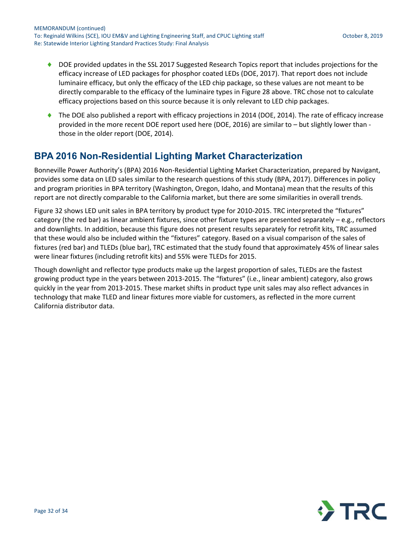- ◆ DOE provided updates in the SSL 2017 Suggested Research Topics report that includes projections for the efficacy increase of LED packages for phosphor coated LEDs (DOE, 2017). That report does not include luminaire efficacy, but only the efficacy of the LED chip package, so these values are not meant to be directly comparable to the efficacy of the luminaire types i[n Figure 28](#page-29-0) above. TRC chose not to calculate efficacy projections based on this source because it is only relevant to LED chip packages.
- ◆ The DOE also published a report with efficacy projections in 2014 (DOE, 2014). The rate of efficacy increase provided in the more recent DOE report used here (DOE, 2016) are similar to – but slightly lower than those in the older report (DOE, 2014).

## **BPA 2016 Non-Residential Lighting Market Characterization**

Bonneville Power Authority's (BPA) 2016 Non-Residential Lighting Market Characterization, prepared by Navigant, provides some data on LED sales similar to the research questions of this study (BPA, 2017). Differences in policy and program priorities in BPA territory (Washington, Oregon, Idaho, and Montana) mean that the results of this report are not directly comparable to the California market, but there are some similarities in overall trends.

[Figure 32](#page-32-0) shows LED unit sales in BPA territory by product type for 2010-2015. TRC interpreted the "fixtures" category (the red bar) as linear ambient fixtures, since other fixture types are presented separately – e.g., reflectors and downlights. In addition, because this figure does not present results separately for retrofit kits, TRC assumed that these would also be included within the "fixtures" category. Based on a visual comparison of the sales of fixtures (red bar) and TLEDs (blue bar), TRC estimated that the study found that approximately 45% of linear sales were linear fixtures (including retrofit kits) and 55% were TLEDs for 2015.

Though downlight and reflector type products make up the largest proportion of sales, TLEDs are the fastest growing product type in the years between 2013-2015. The "fixtures" (i.e., linear ambient) category, also grows quickly in the year from 2013-2015. These market shifts in product type unit sales may also reflect advances in technology that make TLED and linear fixtures more viable for customers, as reflected in the more current California distributor data.

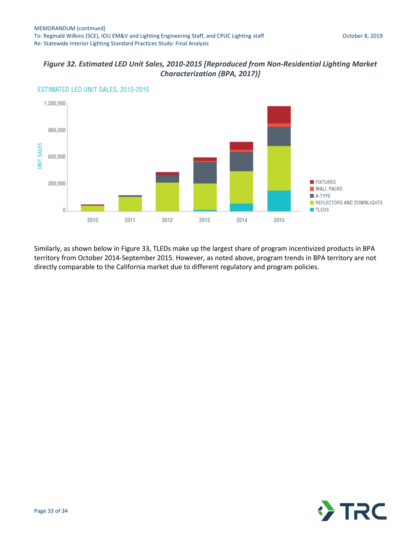### <span id="page-32-0"></span>*Figure 32. Estimated LED Unit Sales, 2010-2015 [Reproduced from Non-Residential Lighting Market Characterization (BPA, 2017)]*



ESTIMATED LED UNIT SALES, 2010-2015

Similarly, as shown below in [Figure 33,](#page-33-0) TLEDs make up the largest share of program incentivized products in BPA territory from October 2014-September 2015. However, as noted above, program trends in BPA territory are not directly comparable to the California market due to different regulatory and program policies.